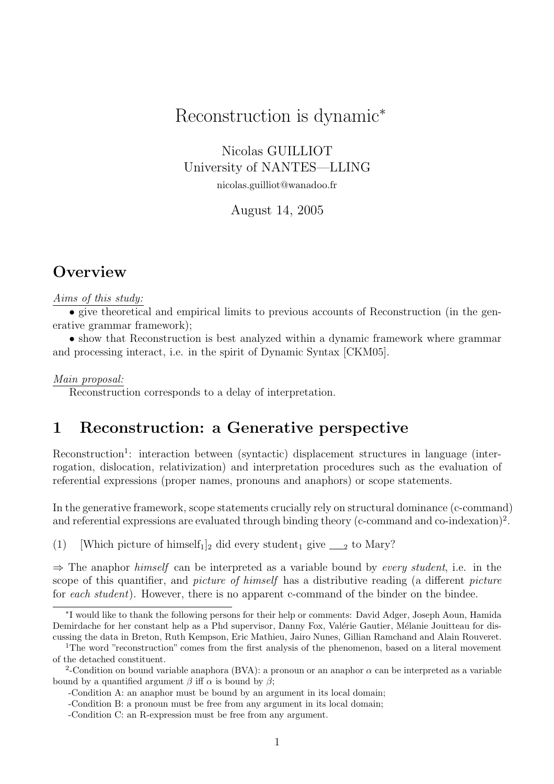# Reconstruction is dynamic<sup>∗</sup>

Nicolas GUILLIOT University of NANTES—LLING nicolas.guilliot@wanadoo.fr

August 14, 2005

## **Overview**

#### Aims of this study:

• give theoretical and empirical limits to previous accounts of Reconstruction (in the generative grammar framework);

• show that Reconstruction is best analyzed within a dynamic framework where grammar and processing interact, i.e. in the spirit of Dynamic Syntax [CKM05].

#### Main proposal:

Reconstruction corresponds to a delay of interpretation.

## 1 Reconstruction: a Generative perspective

Reconstruction<sup>1</sup>: interaction between (syntactic) displacement structures in language (interrogation, dislocation, relativization) and interpretation procedures such as the evaluation of referential expressions (proper names, pronouns and anaphors) or scope statements.

In the generative framework, scope statements crucially rely on structural dominance (c-command) and referential expressions are evaluated through binding theory (c-command and co-indexation)<sup>2</sup>.

(1) [Which picture of himself<sub>1</sub>]<sub>2</sub> did every student<sub>1</sub> give  $\_\_2$  to Mary?

 $\Rightarrow$  The anaphor himself can be interpreted as a variable bound by every student, i.e. in the scope of this quantifier, and *picture of himself* has a distributive reading (a different *picture* for each student). However, there is no apparent c-command of the binder on the bindee.

<sup>∗</sup> I would like to thank the following persons for their help or comments: David Adger, Joseph Aoun, Hamida Demirdache for her constant help as a Phd supervisor, Danny Fox, Valérie Gautier, Mélanie Jouitteau for discussing the data in Breton, Ruth Kempson, Eric Mathieu, Jairo Nunes, Gillian Ramchand and Alain Rouveret.

<sup>1</sup>The word "reconstruction" comes from the first analysis of the phenomenon, based on a literal movement of the detached constituent.

<sup>&</sup>lt;sup>2</sup>-Condition on bound variable anaphora (BVA): a pronoun or an anaphor  $\alpha$  can be interpreted as a variable bound by a quantified argument  $\beta$  iff  $\alpha$  is bound by  $\beta$ ;

<sup>-</sup>Condition A: an anaphor must be bound by an argument in its local domain;

<sup>-</sup>Condition B: a pronoun must be free from any argument in its local domain;

<sup>-</sup>Condition C: an R-expression must be free from any argument.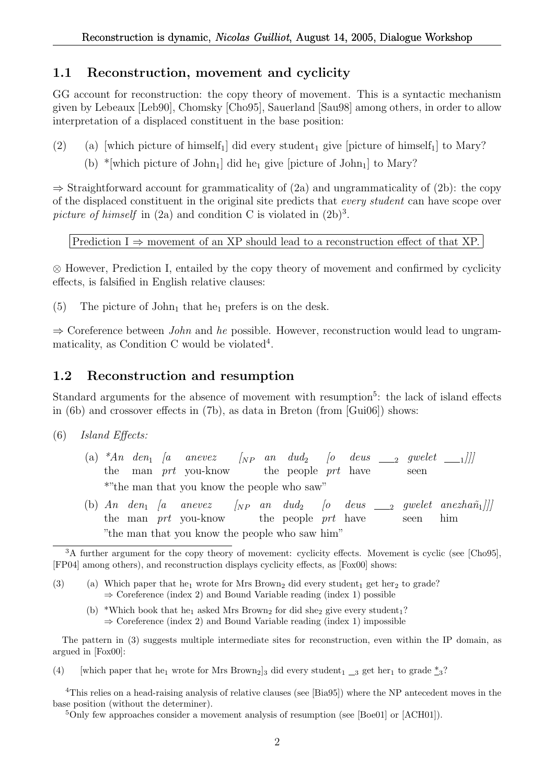### 1.1 Reconstruction, movement and cyclicity

GG account for reconstruction: the copy theory of movement. This is a syntactic mechanism given by Lebeaux [Leb90], Chomsky [Cho95], Sauerland [Sau98] among others, in order to allow interpretation of a displaced constituent in the base position:

- (2) (a) [which picture of himself<sub>1</sub>] did every student<sub>1</sub> give [picture of himself<sub>1</sub>] to Mary?
	- (b) \*[which picture of John<sub>1</sub>] did he<sub>1</sub> give [picture of John<sub>1</sub>] to Mary?

 $\Rightarrow$  Straightforward account for grammaticality of (2a) and ungrammaticality of (2b): the copy of the displaced constituent in the original site predicts that every student can have scope over picture of himself in  $(2a)$  and condition C is violated in  $(2b)^3$ .

Prediction I  $\Rightarrow$  movement of an XP should lead to a reconstruction effect of that XP.

⊗ However, Prediction I, entailed by the copy theory of movement and confirmed by cyclicity effects, is falsified in English relative clauses:

(5) The picture of  $John_1$  that he<sub>1</sub> prefers is on the desk.

 $\Rightarrow$  Coreference between *John* and *he* possible. However, reconstruction would lead to ungrammaticality, as Condition C would be violated<sup>4</sup>.

### 1.2 Reconstruction and resumption

Standard arguments for the absence of movement with resumption<sup>5</sup>: the lack of island effects in (6b) and crossover effects in (7b), as data in Breton (from [Gui06]) shows:

- (6) Island Effects:
	- (a)  $*An$  den<sub>1</sub> [a anevez the man prt you-know  $\begin{bmatrix} NP & an & dud_2 \end{bmatrix}$  [o the people *prt* have  $deus \underline{\hspace{1cm}}_2$  gwelet  $\underline{\hspace{1cm}}_1$ ]] seen \*"the man that you know the people who saw"
	- (b)  $An \text{den}_1 \text{a}$ the man *prt* you-know the people *prt* have anevez  $\begin{bmatrix} NP & an & dud_2 \end{bmatrix}$ [o deus  $_{2}$  gwelet anezha $\widetilde{n}_{1}$ ]]] seen him "the man that you know the people who saw him"

(b) \*Which book that he<sub>1</sub> asked Mrs Brown<sub>2</sub> for did she<sub>2</sub> give every student<sub>1</sub>?  $\Rightarrow$  Coreference (index 2) and Bound Variable reading (index 1) impossible

The pattern in (3) suggests multiple intermediate sites for reconstruction, even within the IP domain, as argued in [Fox00]:

(4) [which paper that he<sub>1</sub> wrote for Mrs Brown<sub>2</sub>]<sub>3</sub> did every student<sub>1</sub>  $\frac{3}{2}$  get her<sub>1</sub> to grade  $\frac{3}{2}$ ?

<sup>4</sup>This relies on a head-raising analysis of relative clauses (see [Bia95]) where the NP antecedent moves in the base position (without the determiner).

<sup>5</sup>Only few approaches consider a movement analysis of resumption (see [Boe01] or [ACH01]).

<sup>&</sup>lt;sup>3</sup>A further argument for the copy theory of movement: cyclicity effects. Movement is cyclic (see [Cho95], [FP04] among others), and reconstruction displays cyclicity effects, as [Fox00] shows:

<sup>(3) (</sup>a) Which paper that he<sub>1</sub> wrote for Mrs Brown<sub>2</sub> did every student<sub>1</sub> get her<sub>2</sub> to grade?  $\Rightarrow$  Coreference (index 2) and Bound Variable reading (index 1) possible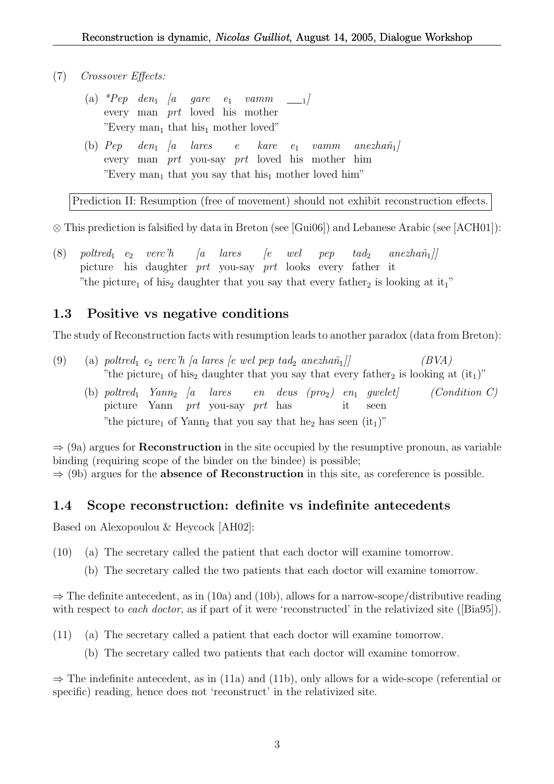- (7) Crossover Effects:
	- (a) \*Pep den<sub>1</sub> [a every man prt loved his mother gare  $e_1$ vamm  $\frac{1}{1}$ "Every man<sub>1</sub> that his<sub>1</sub> mother loved"
	- $(b)$   $Pep$ every man *prt* you-say *prt* loved his mother him  $den_1$  [a lares e kare e1 vamm  $a$ nezhañ $_1/$ "Every man<sub>1</sub> that you say that his<sub>1</sub> mother loved him"

Prediction II: Resumption (free of movement) should not exhibit reconstruction effects.

⊗ This prediction is falsified by data in Breton (see [Gui06]) and Lebanese Arabic (see [ACH01]):

 $(8)$  poltred<sub>1</sub> e<sub>2</sub> verc'h picture his daughter prt you-say prt looks every father it  $\int a$ lares  $\int e$ wel pep  $t a d_2$  $anezha\tilde{n}_1$ ] "the picture<sub>1</sub> of his<sub>2</sub> daughter that you say that every father<sub>2</sub> is looking at it<sub>1</sub>"

### 1.3 Positive vs negative conditions

The study of Reconstruction facts with resumption leads to another paradox (data from Breton):

- (9) (a) poltred<sub>1</sub> e<sub>2</sub> verc'h [a lares [e wel pep tad<sub>2</sub> anezhañ<sub>1</sub>]] (BVA) "the picture<sub>1</sub> of his<sub>2</sub> daughter that you say that every father<sub>2</sub> is looking at  $(it<sub>1</sub>)$ "
	- (b) poltred<sub>1</sub>  $Yann_2$  *[a lares* picture Yann prt you-say prt has  $en$  deus  $(pro_2)$  en it  $(Condition C)$ seen "the picture<sub>1</sub> of Yann<sub>2</sub> that you say that he<sub>2</sub> has seen  $(it<sub>1</sub>)$ "

 $\Rightarrow$  (9a) argues for **Reconstruction** in the site occupied by the resumptive pronoun, as variable binding (requiring scope of the binder on the bindee) is possible;  $\Rightarrow$  (9b) argues for the **absence of Reconstruction** in this site, as coreference is possible.

### 1.4 Scope reconstruction: definite vs indefinite antecedents

Based on Alexopoulou & Heycock [AH02]:

- (10) (a) The secretary called the patient that each doctor will examine tomorrow.
	- (b) The secretary called the two patients that each doctor will examine tomorrow.

 $\Rightarrow$  The definite antecedent, as in (10a) and (10b), allows for a narrow-scope/distributive reading with respect to *each doctor*, as if part of it were 'reconstructed' in the relativized site ([Bia95]).

- (11) (a) The secretary called a patient that each doctor will examine tomorrow.
	- (b) The secretary called two patients that each doctor will examine tomorrow.

 $\Rightarrow$  The indefinite antecedent, as in (11a) and (11b), only allows for a wide-scope (referential or specific) reading, hence does not 'reconstruct' in the relativized site.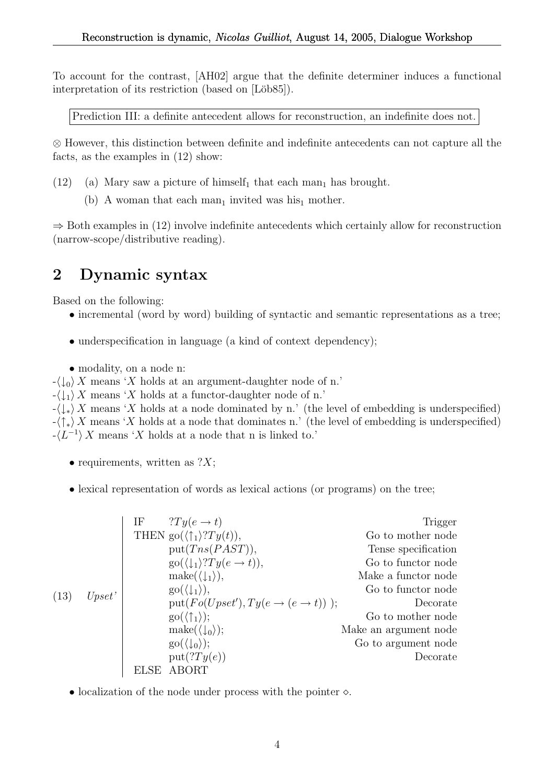To account for the contrast, [AH02] argue that the definite determiner induces a functional interpretation of its restriction (based on [Löb85]).

Prediction III: a definite antecedent allows for reconstruction, an indefinite does not.

⊗ However, this distinction between definite and indefinite antecedents can not capture all the facts, as the examples in (12) show:

- (12) (a) Mary saw a picture of himself<sub>1</sub> that each man<sub>1</sub> has brought.
	- (b) A woman that each man<sub>1</sub> invited was his<sub>1</sub> mother.

 $\Rightarrow$  Both examples in (12) involve indefinite antecedents which certainly allow for reconstruction (narrow-scope/distributive reading).

## 2 Dynamic syntax

Based on the following:

- incremental (word by word) building of syntactic and semantic representations as a tree;
- underspecification in language (a kind of context dependency);
- modality, on a node n:

 $-\langle \downarrow_0 \rangle X$  means 'X holds at an argument-daughter node of n.'

 $-\langle \downarrow_1 \rangle X$  means 'X holds at a functor-daughter node of n.'

 $-\langle \downarrow_{*} \rangle X$  means 'X holds at a node dominated by n.' (the level of embedding is underspecified)  $-\langle \uparrow_{*} \rangle X$  means 'X holds at a node that dominates n.' (the level of embedding is underspecified)  $-\langle L^{-1} \rangle X$  means 'X holds at a node that n is linked to.'

- requirements, written as  $?X;$
- lexical representation of words as lexical actions (or programs) on the tree;

|      |        | $?Ty(e \rightarrow t)$<br>ΙF                                                      | Trigger               |
|------|--------|-----------------------------------------------------------------------------------|-----------------------|
| (13) | Upset' | THEN go( $\langle \uparrow_1 \rangle$ ? $Ty(t)$ ),                                | Go to mother node     |
|      |        | put(Tns(PAST)),                                                                   | Tense specification   |
|      |        | $\text{go}(\langle \downarrow_1 \rangle ? \text{T} \textit{y}(e \rightarrow t)),$ | Go to functor node    |
|      |        | $\mathrm{make}(\langle \downarrow_1 \rangle),$                                    | Make a functor node   |
|      |        | $\mathrm{go}(\langle \downarrow_1 \rangle),$                                      | Go to functor node    |
|      |        | put( $Fo(Upset')$ , $Ty(e \rightarrow (e \rightarrow t))$ );                      | Decorate              |
|      |        | $\mathrm{go}(\langle \uparrow_1 \rangle);$                                        | Go to mother node     |
|      |        | $\mathrm{make}(\langle \downarrow_0 \rangle);$                                    | Make an argument node |
|      |        | $\mathrm{go}(\langle \downarrow_0 \rangle);$                                      | Go to argument node   |
|      |        | put(?Ty(e))                                                                       | Decorate              |
|      |        | ABORT                                                                             |                       |

• localization of the node under process with the pointer  $\diamond$ .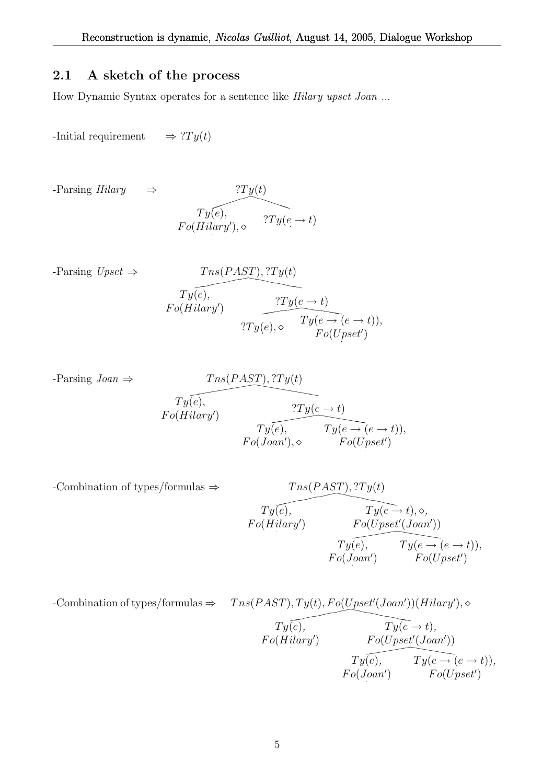## 2.1 A sketch of the process

How Dynamic Syntax operates for a sentence like Hilary upset Joan ...

-Initial requirement  $\Rightarrow$  ? $Ty(t)$ 

 $-$ Parsing Hilary  $\Rightarrow$ 

$$
\begin{array}{c}\n T y(t) \\
\hline\nT y(e), \\
F o(Hilary'), \diamond\n\end{array}\n\quad \text{?} Ty(e \to t)
$$

-Parsing 
$$
Upset \Rightarrow
$$
 
$$
Trs(PAST), ?Ty(t)
$$

$$
To (Hilary') \qquad \underbrace{?Ty(e \rightarrow t)}_{?Ty(e), \diamond} \qquad \underbrace{?Ty(e \rightarrow t)}_{Ty(e \rightarrow (e \rightarrow t))},
$$

$$
Fo(Upset')
$$

-Parsing 
$$
Joan \Rightarrow
$$
  
\n $Ty(e),$   
\n $Fo(Hilary')$   
\n $Ty(e),$   
\n $Ty(e),$   
\n $Ty(e) + t$   
\n $Ty(e) + Ty(e \rightarrow (e \rightarrow t)),$   
\n $Fo(Joan'), \diamond$   
\n $Fo(Upset')$ 

-Combination of types/formulas 
$$
\Rightarrow
$$
 
$$
T_{y}(e),
$$

$$
T_{y}(e),
$$

$$
F_{0}(Hilary') \qquad F_{0}(U_{pset'}(Joan'))
$$

$$
T_{y}(e),
$$

$$
T_{y}(e),
$$

$$
T_{y}(e),
$$

$$
T_{y}(e) = (e \rightarrow t)),
$$

$$
F_{0}(Joan') \qquad F_{0}(U_{pset'})
$$

-Combination of types/formulas 
$$
\Rightarrow
$$
  $Tns(PAST), Ty(t), Fo(Upset'(Joan'))(Hilary'), \diamond$   
\n $Ty(e), \qquad Ty(e \to t),$   
\n $Fo(Hilary')$   $Fo(Upset'(Joan'))$   
\n $Ty(e), \qquad Ty(e \to (e \to t)),$   
\n $Fo(Joan') \qquad Fo(Upset')$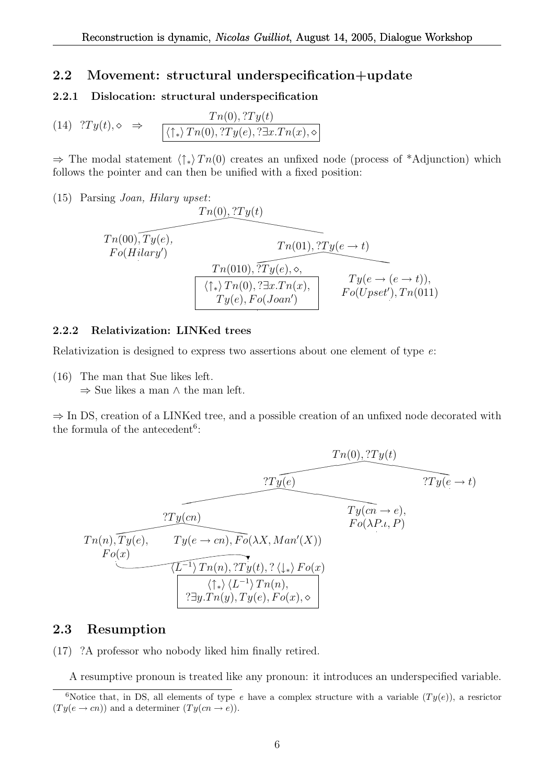### 2.2 Movement: structural underspecification+update

#### 2.2.1 Dislocation: structural underspecification

(14) 
$$
?Ty(t), \diamond \Rightarrow \qquad \frac{Tn(0), ?Ty(t)}{\langle \uparrow_* \rangle Tn(0), ?Ty(e), ?\exists x. Tn(x), \diamond}
$$

 $\Rightarrow$  The modal statement  $\langle \uparrow_* \rangle Th(0)$  creates an unfixed node (process of \*Adjunction) which follows the pointer and can then be unified with a fixed position:

(15) Parsing Joan, Hilary upset:

$$
Tn(0), Ty(e)
$$
  
\n
$$
Tn(0), Ty(e)
$$
  
\n
$$
Tn(01), Ty(e \rightarrow t)
$$
  
\n
$$
Tn(010), Ty(e, \diamond,
$$
  
\n
$$
Tn(010), Ty(e, \diamond,
$$
  
\n
$$
Ty(e \rightarrow (e \rightarrow t)),
$$
  
\n
$$
Ty(e \rightarrow (e \rightarrow t)),
$$
  
\n
$$
Ty(e), Fo(Joan')
$$
  
\n
$$
Tv(e \rightarrow (e \rightarrow t)),
$$
  
\n
$$
Fo(Upset'), Tn(011)
$$

#### 2.2.2 Relativization: LINKed trees

Relativization is designed to express two assertions about one element of type e:

(16) The man that Sue likes left.

 $\Rightarrow$  Sue likes a man  $\wedge$  the man left.

⇒ In DS, creation of a LINKed tree, and a possible creation of an unfixed node decorated with the formula of the antecedent<sup>6</sup>:

$$
Tr(0), T y(t)
$$
  
\n
$$
Tr(0), T y(t)
$$
  
\n
$$
Tr(0), T y(e \rightarrow t)
$$
  
\n
$$
Tr(0), T y(e \rightarrow t)
$$
  
\n
$$
Tr(0), T y(e \rightarrow t)
$$
  
\n
$$
Tr(0, P \rightarrow e)
$$
  
\n
$$
Tr(0, P \rightarrow e)
$$
  
\n
$$
Tr(0, P \rightarrow e)
$$
  
\n
$$
Tr(0, P \rightarrow e)
$$
  
\n
$$
Tr(0, P \rightarrow e)
$$
  
\n
$$
Tr(0, P \rightarrow e)
$$
  
\n
$$
Tr(0, P \rightarrow e)
$$
  
\n
$$
Tr(0, P \rightarrow e)
$$
  
\n
$$
Tr(0, P \rightarrow e)
$$
  
\n
$$
Tr(0, P \rightarrow e)
$$
  
\n
$$
Tr(0, P \rightarrow e)
$$
  
\n
$$
Tr(0, P \rightarrow e)
$$
  
\n
$$
Tr(0, P \rightarrow e)
$$
  
\n
$$
Tr(0, P \rightarrow e)
$$
  
\n
$$
Tr(0, P \rightarrow e)
$$
  
\n
$$
Tr(0, P \rightarrow e)
$$
  
\n
$$
Tr(0, P \rightarrow e)
$$
  
\n
$$
Tr(0, P \rightarrow e)
$$
  
\n
$$
Tr(0, P \rightarrow e)
$$
  
\n
$$
Tr(0, P \rightarrow e)
$$
  
\n
$$
Tr(0, P \rightarrow e)
$$
  
\n
$$
Tr(0, P \rightarrow e)
$$
  
\n
$$
Tr(0, P \rightarrow e)
$$
  
\n
$$
Tr(0, P \rightarrow e)
$$
  
\n
$$
Tr(0, P \rightarrow e)
$$
  
\n
$$
Tr(0, P \rightarrow e)
$$
  
\n
$$
Tr(0, P \rightarrow e)
$$
  
\n
$$
Tr(0, P \rightarrow e)
$$
  
\n
$$
Tr(0, P \rightarrow e)
$$
  
\n
$$
Tr(0, P \rightarrow e)
$$
  
\n
$$
Tr(0, P \rightarrow e)
$$
  
\n
$$
Tr(0, P \rightarrow e)
$$
  
\n
$$
Tr(0, P \rightarrow e)
$$
  
\n<

### 2.3 Resumption

(17) ?A professor who nobody liked him finally retired.

A resumptive pronoun is treated like any pronoun: it introduces an underspecified variable.

<sup>&</sup>lt;sup>6</sup>Notice that, in DS, all elements of type e have a complex structure with a variable  $(Ty(e))$ , a resrictor  $(Ty(e \rightarrow cn))$  and a determiner  $(Ty(cn \rightarrow e)).$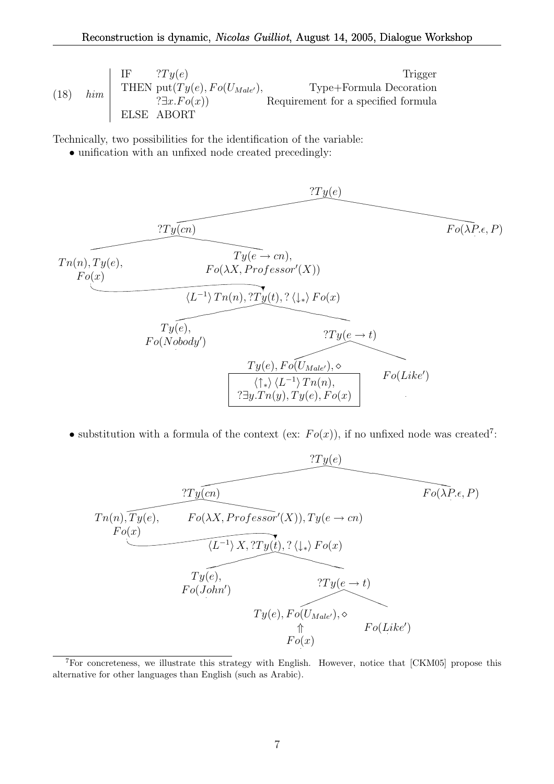(18) 
$$
lim \begin{array}{|l|l|}\n\hline\n\text{IF} & \text{?}Ty(e) & \text{Trigger} \\
\text{THEN put}(Ty(e), Fo(U_{Male'}), & \text{Type+Formula Deoration} \\
\hline\n\text{?} \exists x. Fo(x)) & \text{Required for a specified formula} \\
\hline\n\text{ELSE ABORT}\n\hline\n\end{array}
$$

Technically, two possibilities for the identification of the variable:

• unification with an unfixed node created precedingly:



• substitution with a formula of the context (ex:  $Fo(x)$ ), if no unfixed node was created<sup>7</sup>:



<sup>7</sup>For concreteness, we illustrate this strategy with English. However, notice that [CKM05] propose this alternative for other languages than English (such as Arabic).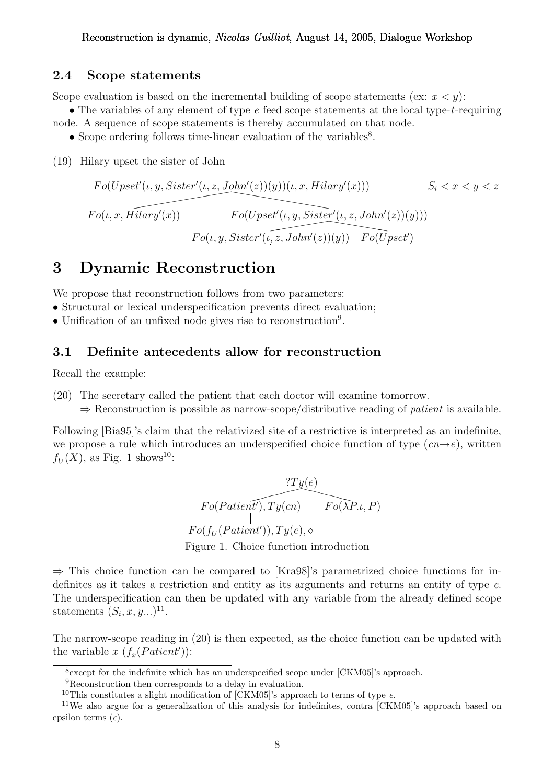#### 2.4 Scope statements

Scope evaluation is based on the incremental building of scope statements (ex:  $x < y$ ):

• The variables of any element of type e feed scope statements at the local type-t-requiring node. A sequence of scope statements is thereby accumulated on that node.

- $\bullet$  Scope ordering follows time-linear evaluation of the variables<sup>8</sup>.
- (19) Hilary upset the sister of John

$$
Fo(Upset'(t, y, Sister'(t, z, John'(z))(y))(t, x, Hilary'(x))) \qquad S_i < x < y < z
$$
  
\n
$$
Fo(t, x, Hilary'(x)) \qquad Fo(Upset'(t, y, Sister'(t, z, John'(z))(y)))
$$
  
\n
$$
Fo(t, y, Sister'(t, z, John'(z))(y)) \qquad Fo(Upset')
$$

## 3 Dynamic Reconstruction

We propose that reconstruction follows from two parameters:

- Structural or lexical underspecification prevents direct evaluation;
- Unification of an unfixed node gives rise to reconstruction<sup>9</sup> .

### 3.1 Definite antecedents allow for reconstruction

Recall the example:

- (20) The secretary called the patient that each doctor will examine tomorrow.
	- $\Rightarrow$  Reconstruction is possible as narrow-scope/distributive reading of *patient* is available.

Following [Bia95]'s claim that the relativized site of a restrictive is interpreted as an indefinite, we propose a rule which introduces an underspecified choice function of type  $(cn\rightarrow e)$ , written  $f_U(X)$ , as Fig. 1 shows<sup>10</sup>:

$$
7Ty(e)
$$
  
\n $Fo(Patien t'), Ty(cn)$   $Fo(\lambda P.t, P)$   
\n $Fo(f_U(Patient')), Ty(e), \diamond$   
\nFigure 1. Choice function introduction

 $\Rightarrow$  This choice function can be compared to [Kra98]'s parametrized choice functions for indefinites as it takes a restriction and entity as its arguments and returns an entity of type e. The underspecification can then be updated with any variable from the already defined scope statements  $(S_i, x, y...)$ <sup>11</sup>.

The narrow-scope reading in (20) is then expected, as the choice function can be updated with the variable x  $(f_x(Patient'))$ :

<sup>&</sup>lt;sup>8</sup> except for the indefinite which has an underspecified scope under [CKM05]'s approach.

<sup>9</sup>Reconstruction then corresponds to a delay in evaluation.

<sup>&</sup>lt;sup>10</sup>This constitutes a slight modification of [CKM05]'s approach to terms of type  $e$ .

<sup>&</sup>lt;sup>11</sup>We also argue for a generalization of this analysis for indefinites, contra [CKM05]'s approach based on epsilon terms  $(\epsilon)$ .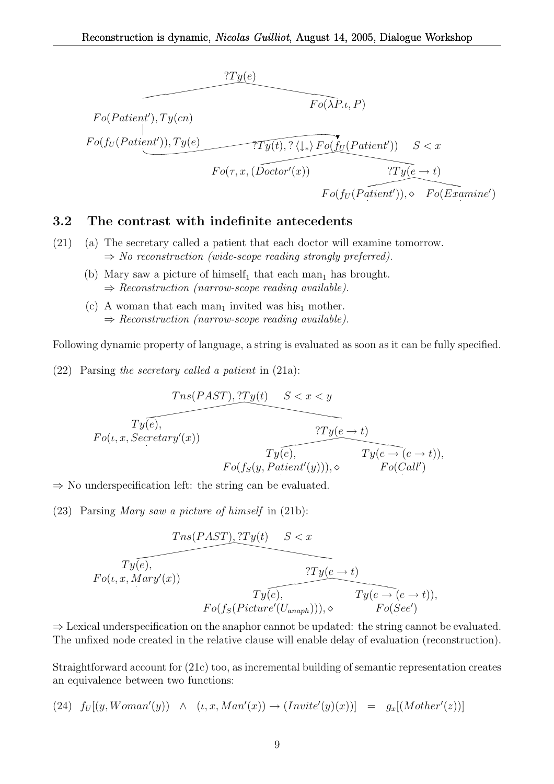

#### 3.2 The contrast with indefinite antecedents

- (21) (a) The secretary called a patient that each doctor will examine tomorrow.  $\Rightarrow$  No reconstruction (wide-scope reading strongly preferred).
	- (b) Mary saw a picture of himself<sub>1</sub> that each man<sub>1</sub> has brought.  $\Rightarrow$  Reconstruction (narrow-scope reading available).
	- (c) A woman that each man<sub>1</sub> invited was his<sub>1</sub> mother.  $\Rightarrow$  Reconstruction (narrow-scope reading available).

Following dynamic property of language, a string is evaluated as soon as it can be fully specified.

(22) Parsing the secretary called a patient in (21a):

$$
Tns(PAST), ?Ty(t) \t S < x < y
$$
  
\n
$$
Ty(e), \t Ty(e \to t)
$$
  
\n
$$
Ty(e), \t Ty(e \to e \to t)),
$$
  
\n
$$
Ty(e), \t Ty(e \to (e \to t)),
$$
  
\n
$$
Fo(f_S(y, Patient'(y))), \diamond \t Fo(Call')
$$

 $\Rightarrow$  No underspecification left: the string can be evaluated.

(23) Parsing Mary saw a picture of himself in (21b):

$$
Tns(PAST), ?Ty(t) \t S < x
$$
  
\n
$$
Ty(e),
$$
  
\n
$$
Ty(e) + t
$$
  
\n
$$
Ty(e) + t
$$
  
\n
$$
Ty(e) + t
$$
  
\n
$$
Ty(e) + t
$$
  
\n
$$
Ty(e) + e + t
$$
  
\n
$$
Ty(e) + e + t
$$
  
\n
$$
Ty(e) + e + t
$$
  
\n
$$
Ty(e) + e + t
$$
  
\n
$$
Ty(e) + e + t
$$
  
\n
$$
Ty(e) + e + t
$$
  
\n
$$
Ty(e) + e + t
$$
  
\n
$$
Ty(e) + t
$$
  
\n
$$
Ty(e) + t
$$
  
\n
$$
Ty(e) + t
$$
  
\n
$$
Ty(e) + t
$$
  
\n
$$
Ty(e) + t
$$
  
\n
$$
Ty(e) + t
$$
  
\n
$$
Ty(e) + t
$$
  
\n
$$
Ty(e) + t
$$
  
\n
$$
Ty(e) + t
$$
  
\n
$$
Ty(e) + t
$$
  
\n
$$
Ty(e) + t
$$
  
\n
$$
Ty(e) + t
$$

 $\Rightarrow$  Lexical underspecification on the anaphor cannot be updated: the string cannot be evaluated. The unfixed node created in the relative clause will enable delay of evaluation (reconstruction).

Straightforward account for (21c) too, as incremental building of semantic representation creates an equivalence between two functions:

$$
(24) \ f_U[(y, Woman'(y)) \ \wedge \ \ (t, x, Man'(x)) \rightarrow (Invite'(y)(x))] \ = \ g_x[(Mother'(z))]
$$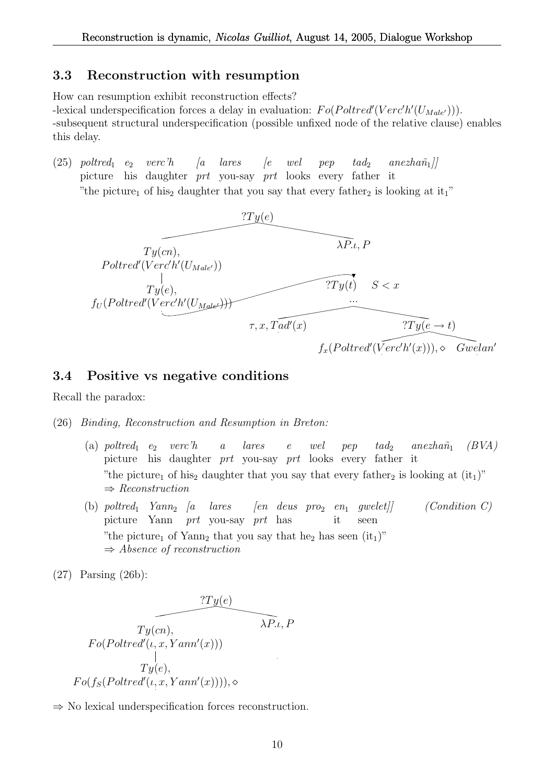#### 3.3 Reconstruction with resumption

How can resumption exhibit reconstruction effects? -lexical underspecification forces a delay in evaluation:  $Fo(Poltred'(Verc'h'(U_{Male'}))).$ -subsequent structural underspecification (possible unfixed node of the relative clause) enables this delay.

 $(25)$  poltred<sub>1</sub> e<sub>2</sub> verc'h picture his daughter *prt* you-say *prt* looks every father it  $\int a$ lares  $\int e$ wel pep  $t a d_2$  $anezha\tilde{n}_1$ ] "the picture<sub>1</sub> of his<sub>2</sub> daughter that you say that every father<sub>2</sub> is looking at it<sub>1</sub>"



### 3.4 Positive vs negative conditions

Recall the paradox:

(26) Binding, Reconstruction and Resumption in Breton:

- (a)  $poltred_1$  e<sub>2</sub> verc'h picture his daughter prt you-say prt looks every father it a lares e wel  $pep$  tad<sub>2</sub> anezhañ<sub>1</sub> (BVA) "the picture<sub>1</sub> of his<sub>2</sub> daughter that you say that every father<sub>2</sub> is looking at  $(it<sub>1</sub>)$ "  $\Rightarrow$  Reconstruction
- (b) poltred<sub>1</sub>  $Yann_2$  [a lares picture Yann prt you-say prt has  $\lbrack en \quad deus \quad pro_2 \quad en_1$ it  $(Condition C)$ seen "the picture<sub>1</sub> of Yann<sub>2</sub> that you say that he<sub>2</sub> has seen  $(it<sub>1</sub>)$ "  $\Rightarrow$  Absence of reconstruction

(27) Parsing (26b):

$$
\overbrace{Ty(cn), \qquad \qquad \lambda P.t. P}
$$
\n
$$
Fo(Poltred'(t, x, Yann'(x)))
$$
\n
$$
Ty(e),
$$
\n
$$
Fo(f_S(Poltred'(t, x, Yann'(x)))), \diamond
$$

⇒ No lexical underspecification forces reconstruction.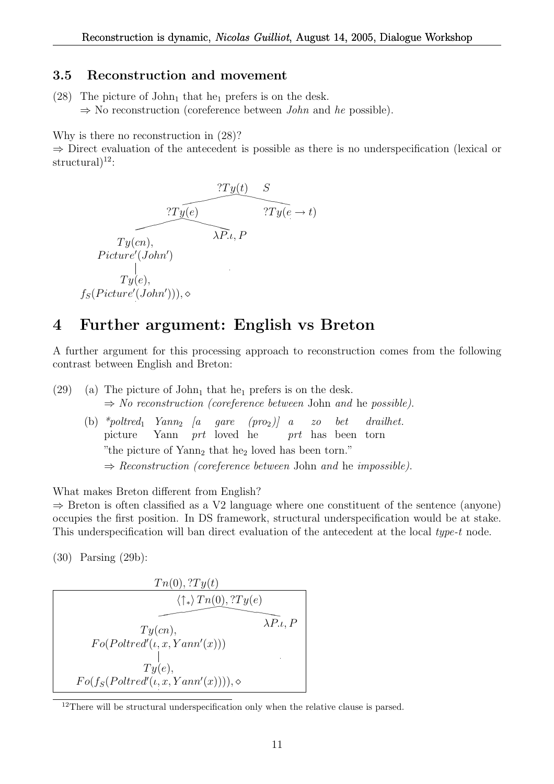### 3.5 Reconstruction and movement

(28) The picture of  $John_1$  that he<sub>1</sub> prefers is on the desk.  $\Rightarrow$  No reconstruction (coreference between *John* and *he* possible).

Why is there no reconstruction in (28)?

⇒ Direct evaluation of the antecedent is possible as there is no underspecification (lexical or structural $)^{12}$ :



# 4 Further argument: English vs Breton

A further argument for this processing approach to reconstruction comes from the following contrast between English and Breton:

(29) (a) The picture of John<sub>1</sub> that he<sub>1</sub> prefers is on the desk.  $\Rightarrow$  No reconstruction (coreference between John and he possible). (b) \*poltred<sub>1</sub>  $Yann_2$  [a gare (pro<sub>2</sub>)] a picture Yann prt loved he prt has been torn zo bet drailhet. "the picture of  $\text{Yann}_2$  that he<sub>2</sub> loved has been torn."

 $\Rightarrow$  Reconstruction (coreference between John and he impossible).

What makes Breton different from English?

 $\Rightarrow$  Breton is often classified as a V2 language where one constituent of the sentence (anyone) occupies the first position. In DS framework, structural underspecification would be at stake. This underspecification will ban direct evaluation of the antecedent at the local type-t node.

(30) Parsing (29b):

$$
Tn(0), ?Ty(t)
$$
  
\n
$$
\langle \uparrow_* \rangle Tn(0), ?Ty(e)
$$
  
\n
$$
Ty(cn), \qquad \lambda P.\iota, P
$$
  
\n
$$
Fo(Poltred'(\iota, x, Yann'(x)))
$$
  
\n
$$
Ty(e),
$$
  
\n
$$
Fo(f_S(Poltred'(\iota, x, Yann'(x))))), \diamond
$$

<sup>&</sup>lt;sup>12</sup>There will be structural underspecification only when the relative clause is parsed.